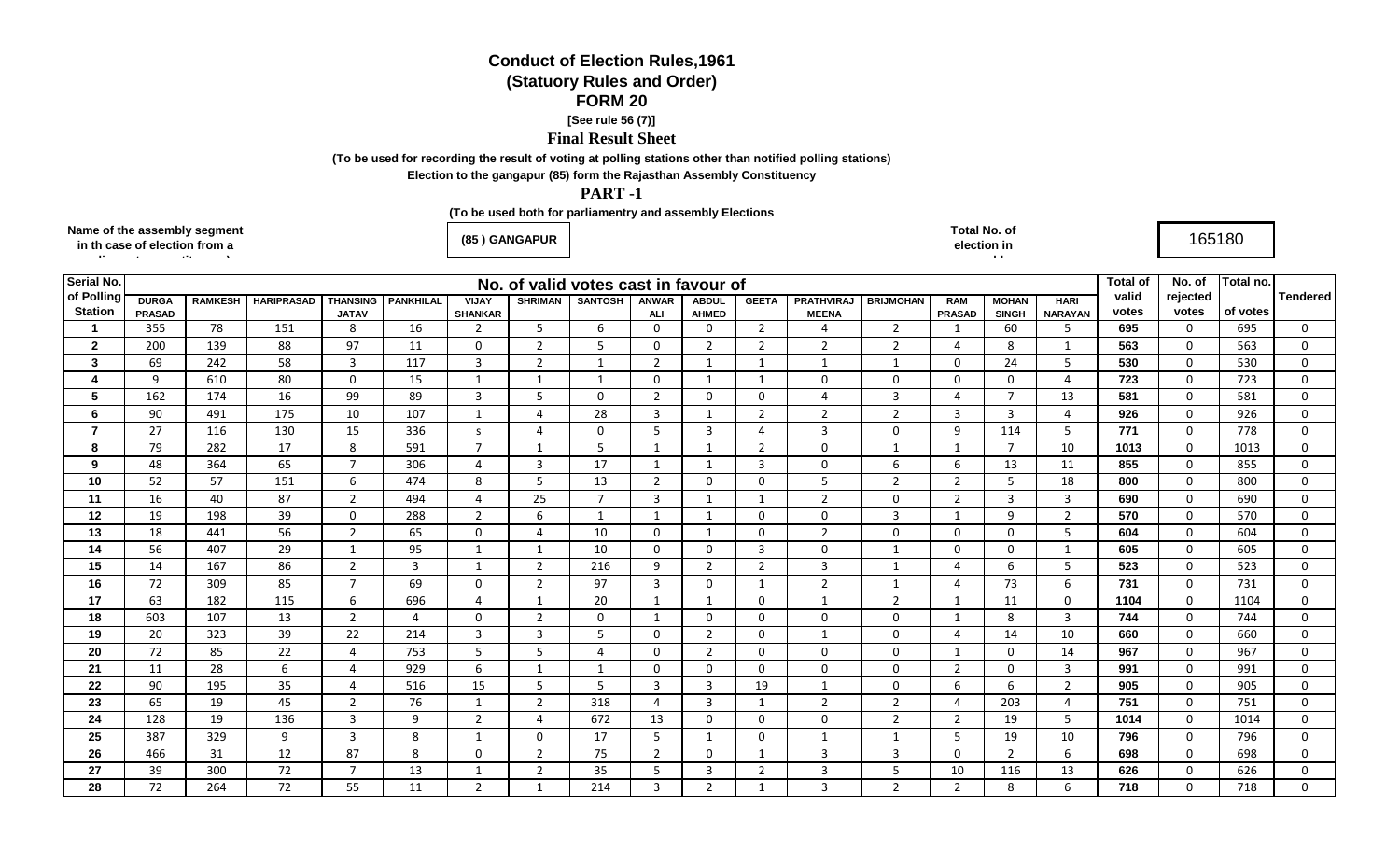# **Conduct of Election Rules,1961**

# **(Statuory Rules and Order)**

## **FORM 20**

#### **[See rule 56 (7)]**

## **Final Result Sheet**

**(To be used for recording the result of voting at polling stations other than notified polling stations)**

**Election to the gangapur (85) form the Rajasthan Assembly Constituency**

### **PART -1**

**Name of the** 

**(To be used both for parliamentry and assembly Elections**

| <b>Name of the assembly segment</b><br>in th case of election from a | ) GANGAPUR<br>(85 | Total No. of<br>lection in<br>. . | 165180 |  |
|----------------------------------------------------------------------|-------------------|-----------------------------------|--------|--|
|                                                                      |                   |                                   |        |  |

| Serial No.                       | No. of valid votes cast in favour of |                |                   |                 |                  |                     |                   |                       |                              |                   |                             |                                  |                               |                         |                               | <b>Total of</b> | No. of       | Total no.        |                 |                          |
|----------------------------------|--------------------------------------|----------------|-------------------|-----------------|------------------|---------------------|-------------------|-----------------------|------------------------------|-------------------|-----------------------------|----------------------------------|-------------------------------|-------------------------|-------------------------------|-----------------|--------------|------------------|-----------------|--------------------------|
| of Polling<br><b>Station</b>     | <b>DURGA</b>                         | <b>RAMKESH</b> | <b>HARIPRASAD</b> | <b>THANSING</b> | <b>PANKHILAL</b> | <b>VIJAY</b>        | <b>SHRIMAN</b>    | <b>SANTOSH</b>        | ANWAR                        | <b>ABDUL</b>      | <b>GEETA</b>                | <b>PRATHVIRAJ</b>                | <b>BRIJMOHAN</b>              | <b>RAM</b>              | <b>MOHAN</b>                  | <b>HARI</b>     | valid        | rejected         |                 | <b>Tendered</b>          |
| $\blacktriangleleft$             | <b>PRASAD</b>                        | 78             | 151               | <b>JATAV</b>    | 16               | <b>SHANKAR</b>      | 5                 |                       | <b>ALI</b><br>$\overline{0}$ | <b>AHMED</b>      | $\overline{2}$              | <b>MEENA</b>                     | $\overline{2}$                | <b>PRASAD</b>           | <b>SINGH</b>                  | <b>NARAYAN</b>  | votes<br>695 | votes            | of votes<br>695 | $\Omega$                 |
|                                  | 355                                  |                |                   | 8               |                  | 2                   |                   | 6                     |                              | 0                 |                             | 4                                |                               | $\mathbf{1}$            | 60                            | 5               |              | $\mathbf 0$      |                 |                          |
| $\mathbf{2}$                     | 200                                  | 139            | 88                | 97              | 11               | 0                   | $\overline{2}$    | -5                    | $\mathbf{0}$                 | 2                 | 2                           | $\overline{2}$                   | $\overline{2}$                | 4                       | 8                             |                 | 563          | 0                | 563             | 0                        |
| $\mathbf{3}$<br>$\boldsymbol{4}$ | 69                                   | 242            | 58                | $\overline{3}$  | 117              | 3                   | $\overline{2}$    | $\mathbf{1}$          | $\overline{2}$               | 1                 | $\mathbf{1}$<br>$\mathbf 1$ | $\mathbf{1}$                     | 1                             | $\Omega$                | 24                            | 5               | 530          | $\mathbf{0}$     | 530             | $\Omega$                 |
| 5                                | 9                                    | 610            | 80                | $\mathbf 0$     | 15               | $\mathbf{1}$        | 1<br>5            | 1                     | $\mathbf 0$                  | $\mathbf{1}$      |                             | $\mathbf 0$<br>4                 | $\mathbf 0$<br>$\overline{3}$ | $\mathbf 0$<br>$\Delta$ | $\mathbf 0$<br>$\overline{7}$ | 4               | 723          | $\mathbf 0$      | 723             | $\Omega$                 |
| 6                                | 162                                  | 174<br>491     | 16<br>175         | 99              | 89<br>107        | $\overline{3}$      |                   | $\Omega$<br>28        | $\overline{2}$               | 0<br>-1           | $\Omega$                    |                                  |                               |                         | 3                             | 13<br>4         | 581<br>926   | $\mathbf 0$      | 581             | $\Omega$                 |
| $\overline{7}$                   | 90                                   |                |                   | 10              |                  | 1                   | 4                 |                       | 3                            |                   | $\overline{2}$<br>Δ         | $\overline{2}$<br>$\overline{3}$ | $\overline{2}$                | 3                       |                               | 5               | 771          | 0                | 926             | $\mathbf{0}$<br>$\Omega$ |
| 8                                | 27<br>79                             | 116<br>282     | 130<br>17         | 15<br>8         | 336<br>591       | s<br>$\overline{7}$ | 4<br>$\mathbf{1}$ | 0<br>.5               | 5<br>$\mathbf{1}$            | 3<br>$\mathbf{1}$ | $\overline{2}$              | $\Omega$                         | $\Omega$<br>$\mathbf{1}$      | 9<br>$\mathbf{1}$       | 114<br>$\overline{7}$         | 10              | 1013         | 0<br>$\mathbf 0$ | 778<br>1013     | $\Omega$                 |
| 9                                | 48                                   | 364            | 65                | $\overline{7}$  | 306              |                     | 3                 | 17                    |                              | -1                | 3                           | 0                                |                               | 6                       | 13                            |                 | 855          | $\mathbf 0$      | 855             | $\mathbf{0}$             |
| 10                               | 52                                   | 57             | 151               | 6               | 474              | 4<br>8              | 5                 | 13                    | $\overline{2}$               | $\mathbf 0$       | $\mathbf 0$                 | 5                                | 6<br>2                        | 2                       | 5                             | 11<br>18        | 800          | $\mathbf 0$      | 800             | $\Omega$                 |
| 11                               | 16                                   | 40             | 87                | 2               | 494              | 4                   |                   | $\overline{7}$        | 3                            | $\mathbf{1}$      |                             | $\overline{2}$                   | $\mathbf 0$                   | 2                       | 3                             | 3               | 690          | $\mathbf{0}$     | 690             | $\Omega$                 |
| 12                               | 19                                   | 198            | 39                | $\mathbf 0$     | 288              | $\overline{2}$      | 25<br>6           | $\mathbf{1}$          |                              | $\mathbf{1}$      | $\Omega$                    | $\Omega$                         | 3                             | $\mathbf{1}$            | $\mathsf{q}$                  | $\overline{2}$  | 570          | $\mathbf 0$      | 570             | $\Omega$                 |
| 13                               | 18                                   | 441            | 56                | $\overline{2}$  | 65               | $\mathbf 0$         | 4                 | 10                    | $\Omega$                     | $\mathbf 1$       | $\Omega$                    | $\overline{2}$                   | $\Omega$                      | $\mathbf 0$             | $\Omega$                      | 5               | 604          | $\mathbf 0$      | 604             | $\Omega$                 |
| 14                               | 56                                   | 407            | 29                | $\mathbf{1}$    | 95               | $\mathbf 1$         | 1                 | 10                    | 0                            | 0                 | 3                           | 0                                | $\mathbf{1}$                  | 0                       | $\Omega$                      |                 | 605          | 0                | 605             | $\Omega$                 |
| 15                               | 14                                   | 167            | 86                | $\overline{2}$  | 3                | $\mathbf{1}$        | $\overline{2}$    | 216                   | 9                            | $\overline{2}$    | 2                           | 3                                | $\mathbf{1}$                  | $\overline{a}$          | 6                             | 5               | 523          | $\mathbf 0$      | 523             | $\Omega$                 |
| 16                               | 72                                   | 309            | 85                | $\overline{7}$  | 69               | 0                   | $\overline{2}$    | 97                    | 3                            | 0                 | $\mathbf{1}$                | 2                                | 1                             | 4                       | 73                            | 6               | 731          | $\mathbf 0$      | 731             | $\Omega$                 |
| 17                               | 63                                   | 182            | 115               | 6               | 696              | 4                   | $\mathbf{1}$      | 20                    | $\mathbf{1}$                 | $\mathbf{1}$      | $\Omega$                    | $\mathbf 1$                      | $\overline{2}$                | -1                      | 11                            | $\mathbf{0}$    | 1104         | $\mathbf{0}$     | 1104            | $\Omega$                 |
| 18                               | 603                                  | 107            | 13                | $\overline{2}$  | 4                | $\mathbf 0$         | $\overline{2}$    | $\mathbf 0$           |                              | $\mathbf 0$       | $\mathbf 0$                 | $\mathbf 0$                      | $\Omega$                      | $\overline{1}$          | 8                             | 3               | 744          | $\mathbf 0$      | 744             | $\Omega$                 |
| 19                               | 20                                   | 323            | 39                | 22              | 214              | 3                   | 3                 | -5                    | 0                            | $\mathbf{2}$      | 0                           | $\mathbf{1}$                     | $\Omega$                      | 4                       | 14                            | 10              | 660          | $\mathbf{0}$     | 660             | $\Omega$                 |
| 20                               | 72                                   | 85             | 22                | $\overline{4}$  | 753              | 5                   | 5                 | $\boldsymbol{\Delta}$ | $\mathbf 0$                  | $\overline{2}$    | $\Omega$                    | $\Omega$                         | $\Omega$                      | -1                      | $\mathbf 0$                   | 14              | 967          | $\mathbf 0$      | 967             | $\mathbf{0}$             |
| 21                               | 11                                   | 28             | 6                 | $\overline{4}$  | 929              | 6                   | 1                 |                       | $\Omega$                     | $\Omega$          | $\Omega$                    | $\Omega$                         | $\Omega$                      | 2                       | $\Omega$                      | 3               | 991          | $\mathbf 0$      | 991             | $\Omega$                 |
| 22                               | 90                                   | 195            | 35                | $\overline{4}$  | 516              | 15                  | 5                 | .5                    | $\overline{3}$               | $\overline{3}$    | 19                          | $\mathbf 1$                      | $\Omega$                      | 6                       | 6                             | $\overline{2}$  | 905          | $\mathbf 0$      | 905             | $\Omega$                 |
| 23                               | 65                                   | 19             | 45                | $\overline{2}$  | 76               | $\mathbf{1}$        | $\overline{2}$    | 318                   | $\boldsymbol{\varDelta}$     | 3                 |                             | $\overline{2}$                   | 2                             | $\overline{a}$          | 203                           | 4               | 751          | $\mathbf 0$      | 751             | $\Omega$                 |
| 24                               | 128                                  | 19             | 136               | $\overline{3}$  | $\mathbf{q}$     | $\overline{2}$      | 4                 | 672                   | 13                           | $\mathbf 0$       | $\Omega$                    | $\mathbf 0$                      | 2                             | 2                       | 19                            | 5               | 1014         | $\mathbf 0$      | 1014            | $\Omega$                 |
| 25                               | 387                                  | 329            | 9                 | $\overline{3}$  | 8                | 1                   | $\mathbf 0$       | 17                    | 5                            | 1                 | $\mathbf 0$                 | $\mathbf{1}$                     | 1                             | 5                       | 19                            | 10              | 796          | $\mathbf 0$      | 796             | $\Omega$                 |
| 26                               | 466                                  | 31             | 12                | 87              | 8                | $\mathbf 0$         | $\overline{2}$    | 75                    | 2                            | 0                 | $\mathbf 1$                 | 3                                | 3                             | $\mathbf 0$             | $\overline{2}$                | 6               | 698          | $\mathbf{0}$     | 698             | $\Omega$                 |
| 27                               | 39                                   | 300            | 72                | $\overline{7}$  | 13               | $\mathbf 1$         | $\overline{2}$    | 35                    | 5                            | 3                 | $\overline{2}$              | 3                                | 5                             | 10                      | 116                           | 13              | 626          | 0                | 626             | $\Omega$                 |
| 28                               | 72                                   | 264            | 72                | 55              | 11               | $\overline{2}$      | -1                | 214                   | 3                            | $\overline{2}$    |                             | 3                                | $\overline{2}$                | $\overline{2}$          | 8                             | 6               | 718          | 0                | 718             | 0                        |
|                                  |                                      |                |                   |                 |                  |                     |                   |                       |                              |                   |                             |                                  |                               |                         |                               |                 |              |                  |                 |                          |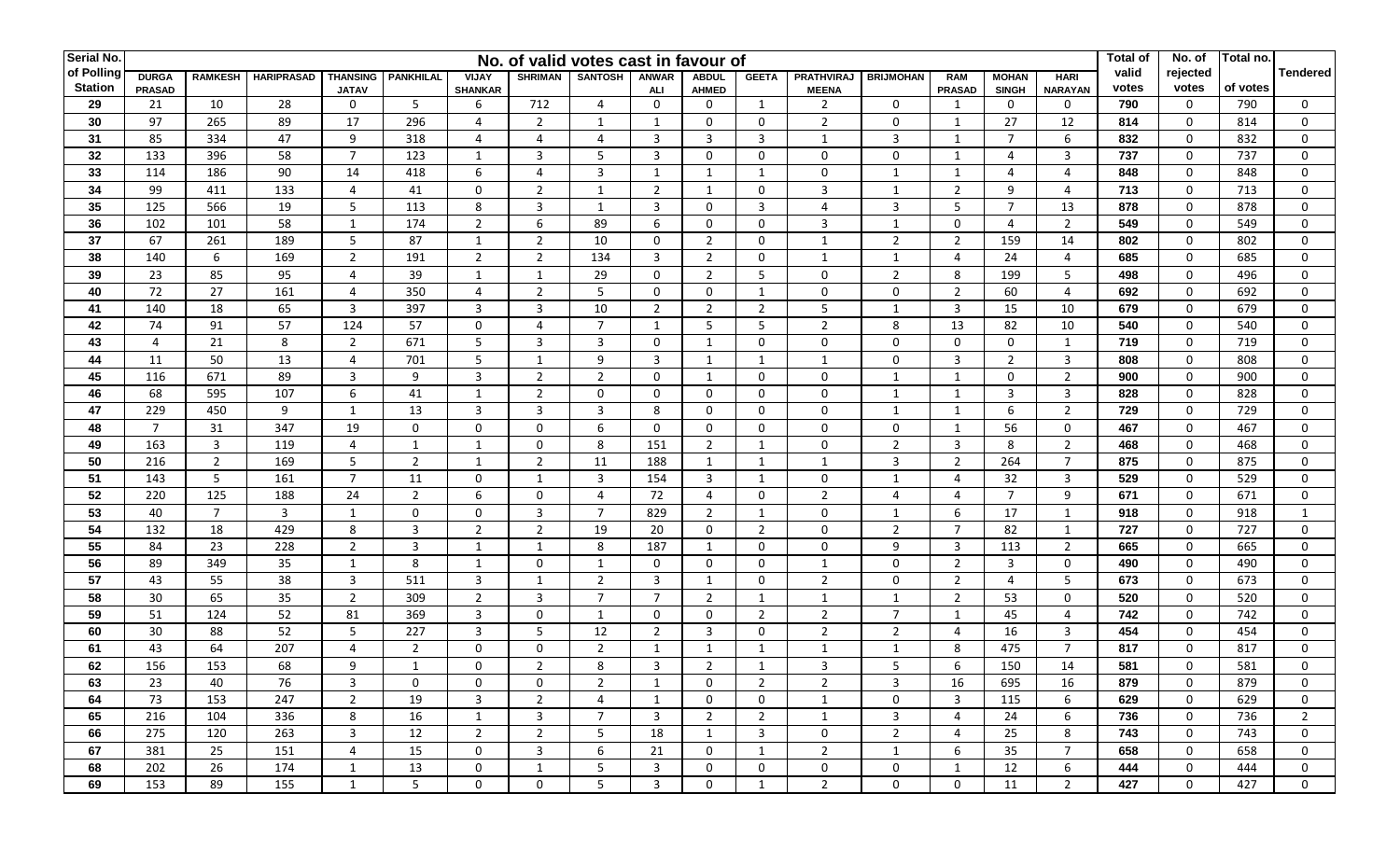| Serial No.     |                |                |                   | No. of valid votes cast in favour of |                  |                |                |                         |                |                |                |                   | <b>Total of</b>  | No. of                  | Total no.             |                |       |              |          |                 |
|----------------|----------------|----------------|-------------------|--------------------------------------|------------------|----------------|----------------|-------------------------|----------------|----------------|----------------|-------------------|------------------|-------------------------|-----------------------|----------------|-------|--------------|----------|-----------------|
| of Polling     | <b>DURGA</b>   | <b>RAMKESH</b> | <b>HARIPRASAD</b> | <b>THANSING</b>                      | <b>PANKHILAL</b> | VIJAY          | <b>SHRIMAN</b> | <b>SANTOSH</b>          | <b>ANWAR</b>   | <b>ABDUL</b>   | <b>GEETA</b>   | <b>PRATHVIRAJ</b> | <b>BRIJMOHAN</b> | <b>RAM</b>              | <b>MOHAN</b>          | <b>HARI</b>    | valid | rejected     |          | <b>Tendered</b> |
| <b>Station</b> | <b>PRASAD</b>  |                |                   | <b>JATAV</b>                         |                  | <b>SHANKAR</b> |                |                         | ALI            | <b>AHMED</b>   |                | <b>MEENA</b>      |                  | <b>PRASAD</b>           | <b>SINGH</b>          | <b>NARAYAN</b> | votes | votes        | of votes |                 |
| 29             | 21             | 10             | 28                | 0                                    | 5                | 6              | 712            | $\overline{4}$          | 0              | 0              | 1              | $\overline{2}$    | $\mathbf 0$      | 1                       | $\mathbf{0}$          | 0              | 790   | 0            | 790      | $\mathbf{0}$    |
| 30             | 97             | 265            | 89                | 17                                   | 296              | 4              | $\overline{2}$ | $\mathbf{1}$            | $\mathbf{1}$   | $\mathbf 0$    | $\mathbf 0$    | $\overline{2}$    | $\mathbf 0$      | 1                       | 27                    | 12             | 814   | 0            | 814      | $\Omega$        |
| 31             | 85             | 334            | 47                | 9                                    | 318              | 4              | 4              | $\overline{4}$          | 3              | 3              | 3              | 1                 | 3                | 1                       | $\overline{7}$        | 6              | 832   | 0            | 832      | $\Omega$        |
| 32             | 133            | 396            | 58                | $\overline{7}$                       | 123              | 1              | 3              | 5                       | 3              | $\mathbf 0$    | $\mathbf 0$    | $\mathbf 0$       | $\mathbf 0$      | $\mathbf{1}$            | $\overline{a}$        | 3              | 737   | $\mathbf 0$  | 737      | $\mathbf{0}$    |
| 33             | 114            | 186            | 90                | 14                                   | 418              | 6              | $\overline{4}$ | $\overline{3}$          | $\mathbf{1}$   | 1              | 1              | $\Omega$          | 1                | $\mathbf{1}$            | $\boldsymbol{\Delta}$ | 4              | 848   | $\mathbf 0$  | 848      | $\mathbf{0}$    |
| 34             | 99             | 411            | 133               | $\overline{4}$                       | 41               | $\mathbf 0$    | $\overline{2}$ | $\overline{\mathbf{1}}$ | $\overline{2}$ | $\mathbf{1}$   | $\mathbf 0$    | 3                 | $\mathbf{1}$     | $\overline{2}$          | $\mathsf{q}$          | 4              | 713   | $\mathbf 0$  | 713      | $\Omega$        |
| 35             | 125            | 566            | 19                | 5                                    | 113              | 8              | 3              | $\mathbf{1}$            | 3              | $\mathbf 0$    | 3              | 4                 | 3                | 5                       | $\overline{7}$        | 13             | 878   | 0            | 878      | $\mathbf{0}$    |
| 36             | 102            | 101            | 58                | $\mathbf{1}$                         | 174              | $\overline{2}$ | $\,6\,$        | 89                      | 6              | $\mathbf 0$    | $\mathbf 0$    | 3                 | 1                | $\mathbf 0$             | $\overline{4}$        | $\overline{2}$ | 549   | 0            | 549      | $\Omega$        |
| 37             | 67             | 261            | 189               | 5                                    | 87               | $\mathbf{1}$   | 2              | 10                      | 0              | $\overline{2}$ | $\mathbf 0$    | 1                 | $\overline{2}$   | 2                       | 159                   | 14             | 802   | 0            | 802      | $\Omega$        |
| 38             | 140            | 6              | 169               | $\overline{2}$                       | 191              | $\overline{2}$ | 2              | 134                     | 3              | $\overline{2}$ | 0              | 1                 | 1                | 4                       | 24                    | 4              | 685   | 0            | 685      | $\Omega$        |
| 39             | 23             | 85             | 95                | 4                                    | 39               | $\mathbf{1}$   | 1              | 29                      | 0              | $\overline{2}$ | 5              | $\mathbf 0$       | $\overline{2}$   | 8                       | 199                   | 5              | 498   | 0            | 496      | $\Omega$        |
| 40             | 72             | 27             | 161               | $\overline{4}$                       | 350              | 4              | $\overline{2}$ | 5                       | 0              | $\mathbf 0$    | 1              | 0                 | 0                | $\overline{2}$          | 60                    | $\overline{4}$ | 692   | 0            | 692      | 0               |
| 41             | 140            | 18             | 65                | $\overline{3}$                       | 397              | $\mathbf{3}$   | $\overline{3}$ | 10                      | $\overline{2}$ | $\overline{2}$ | $\overline{2}$ | 5                 | 1                | $\overline{3}$          | 15                    | 10             | 679   | 0            | 679      | $\Omega$        |
| 42             | 74             | 91             | 57                | 124                                  | 57               | $\mathbf 0$    | 4              | $\overline{7}$          | $\mathbf{1}$   | 5              | 5              | $\overline{2}$    | 8                | 13                      | 82                    | 10             | 540   | 0            | 540      | $\Omega$        |
| 43             | $\overline{4}$ | 21             | 8                 | $\overline{2}$                       | 671              | 5              | 3              | 3                       | 0              | $\mathbf{1}$   | $\mathbf 0$    | 0                 | 0                | $\mathbf 0$             | 0                     | 1              | 719   | 0            | 719      | $\Omega$        |
| 44             | 11             | 50             | 13                | 4                                    | 701              | 5              | $\mathbf{1}$   | 9                       | 3              | $\mathbf{1}$   | 1              | $\mathbf{1}$      | 0                | 3                       | $\overline{2}$        | 3              | 808   | 0            | 808      | $\Omega$        |
| 45             | 116            | 671            | 89                | $\overline{3}$                       | 9                | 3              | $\overline{2}$ | $\overline{2}$          | $\mathbf 0$    | $\mathbf{1}$   | $\mathbf 0$    | $\mathbf 0$       | $\mathbf{1}$     | $\mathbf{1}$            | 0                     | $\overline{2}$ | 900   | 0            | 900      | $\Omega$        |
| 46             | 68             | 595            | 107               | 6                                    | 41               | $\mathbf{1}$   | $\overline{2}$ | 0                       | $\mathbf 0$    | $\mathbf 0$    | $\mathbf 0$    | $\mathbf 0$       | $\mathbf{1}$     | $\mathbf{1}$            | 3                     | 3              | 828   | 0            | 828      | $\mathbf{0}$    |
| 47             | 229            | 450            | 9                 | $\mathbf{1}$                         | 13               | $\overline{3}$ | $\mathbf{3}$   | $\overline{3}$          | 8              | $\mathbf 0$    | $\mathbf 0$    | $\mathbf 0$       | $\mathbf{1}$     | $\mathbf{1}$            | 6                     | $\overline{2}$ | 729   | $\mathbf 0$  | 729      | $\mathbf 0$     |
| 48             | $\overline{7}$ | 31             | 347               | 19                                   | $\mathbf 0$      | $\mathbf 0$    | $\mathbf 0$    | 6                       | 0              | $\mathbf 0$    | 0              | $\mathbf{0}$      | 0                | $\mathbf{1}$            | 56                    | 0              | 467   | 0            | 467      | $\mathbf{0}$    |
| 49             | 163            | 3              | 119               | 4                                    | 1                | $\mathbf{1}$   | $\mathbf 0$    | 8                       | 151            | $\overline{2}$ | 1              | $\Omega$          | $\overline{2}$   | 3                       | 8                     | $\overline{2}$ | 468   | $\mathbf 0$  | 468      | $\mathbf{0}$    |
| 50             | 216            | $\overline{2}$ | 169               | 5                                    | $\overline{2}$   | $\mathbf{1}$   | $\overline{2}$ | 11                      | 188            | 1              | 1              | $\mathbf{1}$      | 3                | $\overline{2}$          | 264                   | $\overline{7}$ | 875   | $\mathbf 0$  | 875      | $\mathbf{0}$    |
| 51             | 143            | 5              | 161               | $\overline{7}$                       | 11               | $\mathbf 0$    | 1              | 3                       | 154            | 3              | 1              | $\mathbf 0$       | 1                | 4                       | 32                    | 3              | 529   | $\mathbf 0$  | 529      | $\mathbf{0}$    |
| 52             | 220            | 125            | 188               | 24                                   | $\overline{2}$   | 6              | $\mathbf 0$    | $\overline{4}$          | 72             | $\overline{4}$ | $\mathbf 0$    | $\overline{2}$    | 4                | 4                       | $\overline{7}$        | 9              | 671   | $\mathbf 0$  | 671      | $\Omega$        |
| 53             | 40             | $\overline{7}$ | $\overline{3}$    | 1                                    | $\mathbf{0}$     | $\mathbf 0$    | $\overline{3}$ | $\overline{7}$          | 829            | $\overline{2}$ | $\mathbf{1}$   | $\mathbf 0$       | 1                | 6                       | 17                    | 1              | 918   | 0            | 918      | 1               |
| 54             | 132            | 18             | 429               | 8                                    | $\overline{3}$   | $\overline{2}$ | $\overline{2}$ | 19                      | 20             | $\mathbf 0$    | $\overline{2}$ | $\Omega$          | $\overline{2}$   | $\overline{7}$          | 82                    | 1              | 727   | 0            | 727      | $\mathbf{0}$    |
| 55             | 84             | 23             | 228               | $\overline{2}$                       | $\overline{3}$   | $\mathbf{1}$   | 1              | 8                       | 187            | 1              | 0              | $\mathbf{0}$      | 9                | 3                       | 113                   | $\overline{2}$ | 665   | 0            | 665      | $\mathbf{0}$    |
| 56             | 89             | 349            | 35                | 1                                    | 8                | $\mathbf{1}$   | $\mathbf 0$    | -1                      | 0              | $\mathbf 0$    | 0              | 1                 | 0                | $\overline{2}$          | 3                     | 0              | 490   | $\mathbf 0$  | 490      | $\mathbf{0}$    |
| 57             | 43             | 55             | 38                | $\overline{3}$                       | 511              | 3              | 1              | $\overline{2}$          | 3              | 1              | $\mathbf 0$    | $\overline{2}$    | 0                | $\overline{2}$          | $\overline{4}$        | 5              | 673   | $\mathbf 0$  | 673      | $\mathbf{0}$    |
| 58             | 30             | 65             | 35                | $\overline{2}$                       | 309              | $\overline{2}$ | 3              | $\overline{7}$          | $\overline{7}$ | $\overline{2}$ | 1              | $\mathbf{1}$      | 1                | $\overline{2}$          | 53                    | $\overline{0}$ | 520   | $\mathbf 0$  | 520      | $\Omega$        |
| 59             | 51             | 124            | 52                | 81                                   | 369              | $\mathbf{3}$   | $\mathbf 0$    | $\mathbf 1$             | $\mathbf 0$    | $\mathbf 0$    | $\overline{2}$ | $\overline{2}$    | $\overline{7}$   | $\mathbf{1}$            | 45                    | 4              | 742   | $\mathbf 0$  | 742      | $\Omega$        |
| 60             | 30             | 88             | 52                | 5                                    | 227              | $\mathbf{3}$   | 5              | 12                      | $\overline{2}$ | $\overline{3}$ | $\mathbf 0$    | $\overline{2}$    | $\overline{2}$   | $\overline{4}$          | 16                    | 3              | 454   | 0            | 454      | $\mathbf{0}$    |
| 61             | 43             | 64             | 207               | 4                                    | $\overline{2}$   | $\mathbf 0$    | $\mathbf 0$    | $\overline{2}$          | $\mathbf{1}$   | $\mathbf{1}$   | 1              | $\mathbf{1}$      | $\mathbf{1}$     | 8                       | 475                   | $\overline{7}$ | 817   | 0            | 817      | $\Omega$        |
| 62             | 156            | 153            | 68                | 9                                    | $\mathbf{1}$     | $\mathbf{0}$   | 2              | 8                       | 3              | $\overline{2}$ | $\mathbf 1$    | 3                 | 5                | 6                       | 150                   | 14             | 581   | $\mathbf 0$  | 581      | $\Omega$        |
| 63             | 23             | 40             | 76                | 3                                    | $\mathbf 0$      | 0              | 0              | 2                       | 1              | $\mathbf{0}$   | $\overline{2}$ | 2                 | 3                | 16                      | 695                   | 16             | 879   | 0            | 879      | $\mathbf{0}$    |
| 64             | 73             | 153            | 247               | $\overline{2}$                       | 19               | 3              | $\overline{2}$ | 4                       | 1              | $\mathbf{0}$   | $\mathbf{0}$   | 1                 | $\overline{0}$   | $\overline{\mathbf{3}}$ | 115                   | 6              | 629   | $\mathbf{0}$ | 629      | $\mathbf{0}$    |
| 65             | 216            | 104            | 336               | 8                                    | 16               | 1              | 3              | 7                       | $\overline{3}$ | $\overline{2}$ | $\overline{2}$ | 1                 | 3                | 4                       | 24                    | 6              | 736   | 0            | 736      | $\overline{2}$  |
| 66             | 275            | 120            | 263               | $\overline{3}$                       | 12               | $\overline{2}$ | $\overline{2}$ | 5                       | 18             | $\mathbf{1}$   | $\overline{3}$ | 0                 | $\overline{2}$   | 4                       | 25                    | 8              | 743   | 0            | 743      | $\mathbf{0}$    |
| 67             | 381            | 25             | 151               | $\overline{4}$                       | 15               | $\mathbf 0$    | 3              | 6                       | 21             | $\mathbf{0}$   | 1              | $\overline{2}$    | 1                | 6                       | 35                    | $7^{\circ}$    | 658   | 0            | 658      | $\mathbf{0}$    |
| 68             | 202            | 26             | 174               | 1                                    | 13               | $\mathbf 0$    | $\mathbf{1}$   | 5                       | 3              | $\mathbf{0}$   | 0              | $\mathbf{0}$      | 0                | 1                       | 12                    | 6              | 444   | 0            | 444      | $\mathbf{0}$    |
| 69             | 153            | 89             | 155               | 1                                    | 5                | $\mathbf 0$    | $\mathbf 0$    | 5                       | 3              | $\mathbf 0$    | $\mathbf{1}$   | $\overline{2}$    | $\mathbf 0$      | $\mathbf 0$             | 11                    | $2^{\circ}$    | 427   | 0            | 427      | $\mathbf 0$     |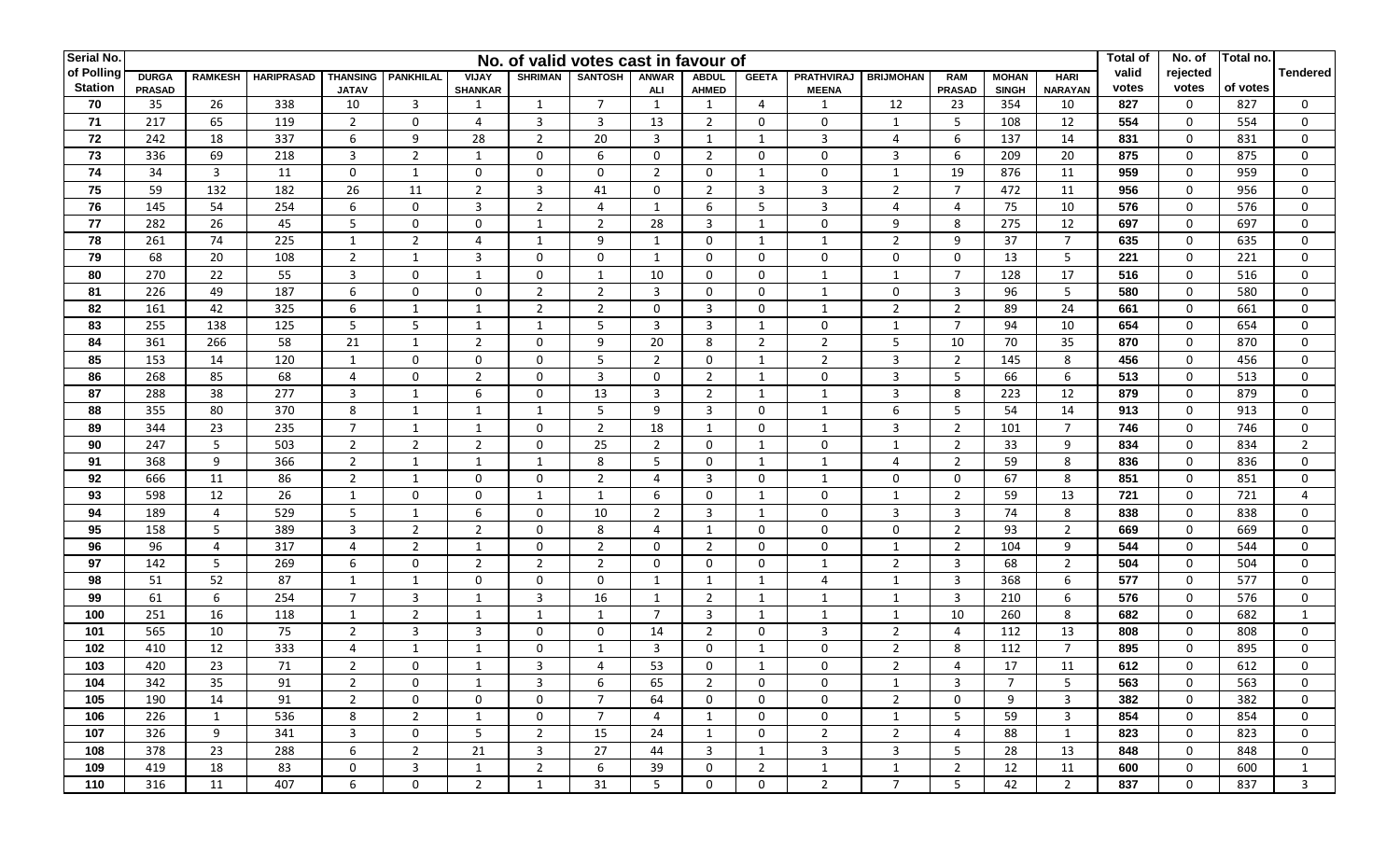| Serial No.     |               |                |                   |                         |                  |                |                | No. of valid votes cast in favour of |                |                |                |                   |                  |                |              |                | <b>Total of</b> | No. of       | Total no. |                 |
|----------------|---------------|----------------|-------------------|-------------------------|------------------|----------------|----------------|--------------------------------------|----------------|----------------|----------------|-------------------|------------------|----------------|--------------|----------------|-----------------|--------------|-----------|-----------------|
| of Polling     | <b>DURGA</b>  | <b>RAMKESH</b> | <b>HARIPRASAD</b> | <b>THANSING</b>         | <b>PANKHILAL</b> | VIJAY          | <b>SHRIMAN</b> | <b>SANTOSH</b>                       | <b>ANWAR</b>   | <b>ABDUL</b>   | <b>GEETA</b>   | <b>PRATHVIRAJ</b> | <b>BRIJMOHAN</b> | <b>RAM</b>     | <b>MOHAN</b> | <b>HARI</b>    | valid           | rejected     |           | <b>Tendered</b> |
| <b>Station</b> | <b>PRASAD</b> |                |                   | <b>JATAV</b>            |                  | <b>SHANKAR</b> |                |                                      | ALI            | <b>AHMED</b>   |                | <b>MEENA</b>      |                  | <b>PRASAD</b>  | <b>SINGH</b> | <b>NARAYAN</b> | votes           | votes        | of votes  |                 |
| 70             | 35            | 26             | 338               | 10                      | $\overline{3}$   | 1              | 1              | $\overline{7}$                       | 1              | $\mathbf{1}$   | 4              | 1                 | 12               | 23             | 354          | 10             | 827             | 0            | 827       | $\mathbf{0}$    |
| 71             | 217           | 65             | 119               | $\overline{2}$          | $\mathbf 0$      | 4              | $\overline{3}$ | 3                                    | 13             | $\overline{2}$ | $\mathbf 0$    | $\Omega$          | $\mathbf{1}$     | 5              | 108          | 12             | 554             | 0            | 554       | $\Omega$        |
| 72             | 242           | 18             | 337               | 6                       | 9                | 28             | $\overline{2}$ | 20                                   | 3              | $\mathbf{1}$   | 1              | 3                 | 4                | 6              | 137          | 14             | 831             | $\mathbf 0$  | 831       | $\Omega$        |
| 73             | 336           | 69             | 218               | $\overline{3}$          | 2                | -1             | 0              | 6                                    | 0              | $\overline{2}$ | $\mathbf 0$    | $\mathbf 0$       | 3                | 6              | 209          | 20             | 875             | $\mathbf 0$  | 875       | $\mathbf{0}$    |
| 74             | 34            | $\overline{3}$ | 11                | $\mathbf 0$             | 1                | $\mathbf 0$    | $\mathbf 0$    | $\Omega$                             | $\overline{2}$ | $\mathbf 0$    | 1              | $\Omega$          | 1                | 19             | 876          | 11             | 959             | $\mathbf 0$  | 959       | $\Omega$        |
| 75             | 59            | 132            | 182               | 26                      | 11               | $\overline{2}$ | $\overline{3}$ | 41                                   | $\mathbf 0$    | $\overline{2}$ | $\overline{3}$ | 3                 | $\overline{2}$   | $\overline{7}$ | 472          | 11             | 956             | $\mathbf 0$  | 956       | $\Omega$        |
| 76             | 145           | 54             | 254               | 6                       | $\mathbf 0$      | 3              | $\overline{2}$ | $\overline{4}$                       | $\mathbf{1}$   | 6              | 5              | 3                 | 4                | 4              | 75           | 10             | 576             | 0            | 576       | $\Omega$        |
| 77             | 282           | 26             | 45                | 5                       | $\mathbf 0$      | $\mathbf 0$    | $\mathbf{1}$   | $\overline{2}$                       | 28             | 3              | 1              | $\mathbf 0$       | 9                | 8              | 275          | 12             | 697             | 0            | 697       | $\Omega$        |
| 78             | 261           | 74             | 225               | 1                       | $\overline{2}$   | $\overline{4}$ | 1              | 9                                    | 1              | $\mathbf 0$    | 1              | $\mathbf{1}$      | $\overline{2}$   | 9              | 37           | $\overline{7}$ | 635             | 0            | 635       | $\Omega$        |
| 79             | 68            | 20             | 108               | $\overline{2}$          | 1                | 3              | $\mathbf 0$    | $\mathbf 0$                          | 1              | $\mathbf 0$    | $\mathbf 0$    | $\mathbf 0$       | 0                | $\mathbf 0$    | 13           | 5              | 221             | 0            | 221       | $\Omega$        |
| 80             | 270           | 22             | 55                | $\overline{3}$          | $\mathbf 0$      | 1              | $\mathbf 0$    | -1                                   | 10             | $\mathbf 0$    | 0              | 1                 | 1                | $\overline{7}$ | 128          | 17             | 516             | 0            | 516       | $\Omega$        |
| 81             | 226           | 49             | 187               | 6                       | $\Omega$         | $\mathbf 0$    | $\overline{2}$ | $\overline{2}$                       | 3              | $\mathbf 0$    | 0              | 1                 | 0                | $\overline{3}$ | 96           | 5              | 580             | 0            | 580       | $\mathbf{0}$    |
| 82             | 161           | 42             | 325               | 6                       | 1                | $\mathbf{1}$   | $\overline{2}$ | $\overline{2}$                       | $\mathbf 0$    | $\mathbf{3}$   | 0              | 1                 | $\overline{2}$   | $\overline{2}$ | 89           | 24             | 661             | 0            | 661       | $\Omega$        |
| 83             | 255           | 138            | 125               | 5                       | 5                | $\mathbf{1}$   | 1              | 5                                    | 3              | $\mathbf{3}$   | $\mathbf{1}$   | 0                 | $\mathbf{1}$     | $\overline{7}$ | 94           | 10             | 654             | 0            | 654       | $\Omega$        |
| 84             | 361           | 266            | 58                | 21                      | $\mathbf{1}$     | $\overline{2}$ | $\mathbf 0$    | 9                                    | 20             | 8              | $\overline{2}$ | $\overline{2}$    | 5                | 10             | 70           | 35             | 870             | 0            | 870       | $\Omega$        |
| 85             | 153           | 14             | 120               | 1                       | $\Omega$         | $\mathbf 0$    | $\mathbf 0$    | 5                                    | $\overline{2}$ | $\mathbf 0$    | 1              | $\overline{2}$    | 3                | $\overline{2}$ | 145          | 8              | 456             | 0            | 456       | $\Omega$        |
| 86             | 268           | 85             | 68                | 4                       | $\Omega$         | $\overline{2}$ | 0              | $\overline{3}$                       | $\mathbf 0$    | $\overline{2}$ | 1              | $\mathbf 0$       | 3                | 5              | 66           | 6              | 513             | $\mathbf 0$  | 513       | $\Omega$        |
| 87             | 288           | 38             | $\overline{277}$  | $\overline{3}$          | $\overline{1}$   | 6              | $\mathbf 0$    | 13                                   | 3              | $\overline{2}$ | 1              | $\mathbf{1}$      | 3                | 8              | 223          | 12             | 879             | 0            | 879       | $\Omega$        |
| 88             | 355           | 80             | 370               | 8                       | 1                | $\mathbf{1}$   | $\mathbf{1}$   | 5                                    | 9              | $\overline{3}$ | $\mathbf 0$    | 1                 | 6                | 5              | 54           | 14             | 913             | $\mathbf 0$  | 913       | $\mathbf 0$     |
| 89             | 344           | 23             | 235               | $\overline{7}$          | 1                | $\mathbf{1}$   | $\mathbf 0$    | $\overline{2}$                       | 18             | $\mathbf{1}$   | 0              | 1                 | 3                | $\overline{2}$ | 101          | $\overline{7}$ | 746             | 0            | 746       | 0               |
| 90             | 247           | 5              | 503               | $\overline{2}$          | $\overline{2}$   | $\overline{2}$ | $\mathbf 0$    | 25                                   | $\overline{2}$ | $\mathbf 0$    | 1              | $\mathbf 0$       | 1                | $\overline{2}$ | 33           | 9              | 834             | $\mathbf 0$  | 834       | $\overline{2}$  |
| 91             | 368           | 9              | 366               | $\overline{2}$          | 1                | $\mathbf{1}$   | 1              | 8                                    | 5              | $\mathbf 0$    | 1              | 1                 | $\overline{a}$   | $\overline{2}$ | 59           | 8              | 836             | $\mathbf 0$  | 836       | $\Omega$        |
| 92             | 666           | 11             | 86                | $\overline{2}$          | 1                | $\mathbf 0$    | $\mathbf 0$    | $\overline{2}$                       | 4              | 3              | $\Omega$       | 1                 | 0                | $\mathbf 0$    | 67           | 8              | 851             | $\mathbf 0$  | 851       | $\Omega$        |
| 93             | 598           | 12             | 26                | 1                       | $\mathbf{0}$     | $\mathbf 0$    | 1              | 1                                    | 6              | $\mathbf 0$    | 1              | $\mathbf 0$       | 1                | $\overline{2}$ | 59           | 13             | 721             | $\mathbf 0$  | 721       | $\overline{a}$  |
| 94             | 189           | 4              | 529               | 5                       | 1                | 6              | $\mathbf 0$    | 10                                   | $\overline{2}$ | $\overline{3}$ | 1              | $\Omega$          | $\overline{3}$   | $\overline{3}$ | 74           | 8              | 838             | $\mathbf 0$  | 838       | $\mathbf 0$     |
| 95             | 158           | 5              | 389               | $\overline{3}$          | $\overline{2}$   | $\overline{2}$ | $\mathbf 0$    | 8                                    | 4              | 1              | $\mathbf 0$    | $\Omega$          | $\mathbf 0$      | $\overline{2}$ | 93           | $\overline{2}$ | 669             | $\mathbf 0$  | 669       | $\mathbf{0}$    |
| 96             | 96            | 4              | 317               | 4                       | $\overline{2}$   | $\mathbf{1}$   | $\mathbf 0$    | $\overline{2}$                       | 0              | $\overline{2}$ | $\mathbf 0$    | $\mathbf{0}$      | 1                | $\overline{2}$ | 104          | 9              | 544             | 0            | 544       | $\mathbf{0}$    |
| 97             | 142           | 5              | 269               | 6                       | $\mathbf 0$      | $\overline{2}$ | $\overline{2}$ | $\overline{2}$                       | 0              | $\mathbf 0$    | 0              | 1                 | $\overline{2}$   | 3              | 68           | $\overline{2}$ | 504             | 0            | 504       | $\Omega$        |
| 98             | 51            | 52             | 87                | 1                       | 1                | $\mathbf 0$    | $\mathbf 0$    | $\mathbf{0}$                         | -1             | 1              | 1              | 4                 | 1                | 3              | 368          | 6              | 577             | $\mathbf 0$  | 577       | $\mathbf{0}$    |
| 99             | 61            | 6              | 254               | $\overline{7}$          | $\overline{3}$   | $\mathbf{1}$   | $\overline{3}$ | 16                                   | $\mathbf{1}$   | $\overline{2}$ | 1              | $\mathbf{1}$      | 1                | 3              | 210          | 6              | 576             | $\mathbf 0$  | 576       | $\Omega$        |
| 100            | 251           | 16             | 118               | $\mathbf{1}$            | $\overline{2}$   | $\mathbf{1}$   | $\mathbf{1}$   |                                      | $\overline{7}$ | $\overline{3}$ | 1              | $\mathbf{1}$      | 1                | 10             | 260          | 8              | 682             | $\mathbf 0$  | 682       |                 |
| 101            | 565           | 10             | 75                | $\overline{2}$          | $\overline{3}$   | $\mathbf{3}$   | $\mathbf 0$    | $\mathbf 0$                          | 14             | $\overline{2}$ | $\mathbf 0$    | 3                 | $\overline{2}$   | $\overline{4}$ | 112          | 13             | 808             | 0            | 808       | $\mathbf 0$     |
| 102            | 410           | 12             | 333               | 4                       | 1                | $\mathbf{1}$   | $\mathbf 0$    |                                      | 3              | 0              | 1              | $\mathbf 0$       | $\overline{2}$   | 8              | 112          | $\overline{7}$ | 895             | 0            | 895       | $\Omega$        |
| 103            | 420           | 23             | 71                | $\overline{2}$          | $\Omega$         | -1             | 3              | $\boldsymbol{\Delta}$                | 53             | $\mathbf 0$    | $\mathbf{1}$   | $\Omega$          | 2                | $\overline{4}$ | 17           | 11             | 612             | $\mathbf 0$  | 612       | $\Omega$        |
| 104            | 342           | 35             | 91                | $\overline{2}$          | 0                | -1             | 3              | 6                                    | 65             | 2              | 0              | 0                 | 1                | 3              | 7            | 5              | 563             | 0            | 563       | 0               |
| 105            | 190           | 14             | 91                | $\overline{2}$          | $\mathbf{0}$     | $\mathbf 0$    | 0              | $\overline{7}$                       | 64             | 0              | $\mathbf{0}$   | $\mathbf{0}$      | $\overline{2}$   | 0              | 9            | $\overline{3}$ | 382             | $\mathbf{0}$ | 382       | $\mathbf{0}$    |
| 106            | 226           | 1              | 536               | 8                       | $\overline{2}$   | 1              | 0              | $\overline{7}$                       | 4              | 1              | 0              | 0                 | 1                | 5              | 59           | 3              | 854             | 0            | 854       | $\mathbf{0}$    |
| 107            | 326           | 9              | 341               | $\overline{\mathbf{3}}$ | $\mathbf 0$      | 5              | $\overline{2}$ | 15                                   | 24             | $\mathbf{1}$   | 0              | $\overline{2}$    | $\overline{2}$   | 4              | 88           | 1              | 823             | 0            | 823       | $\mathbf{0}$    |
| 108            | 378           | 23             | 288               | 6                       | $\overline{2}$   | 21             | 3              | 27                                   | 44             | 3              | 1              | 3                 | 3                | 5              | 28           | 13             | 848             | 0            | 848       | $\mathbf{0}$    |
| 109            | 419           | 18             | 83                | 0                       | 3                | 1              | $\overline{2}$ | 6                                    | 39             | 0              | $\overline{2}$ | 1                 | 1                | $\overline{2}$ | 12           | 11             | 600             | 0            | 600       | 1               |
| 110            | 316           | 11             | 407               | 6                       | $\mathbf 0$      | $\overline{2}$ | 1              | 31                                   | 5              | $\mathbf 0$    | 0              | $\overline{2}$    | $\overline{7}$   | 5              | 42           | $\overline{2}$ | 837             | 0            | 837       | $\overline{3}$  |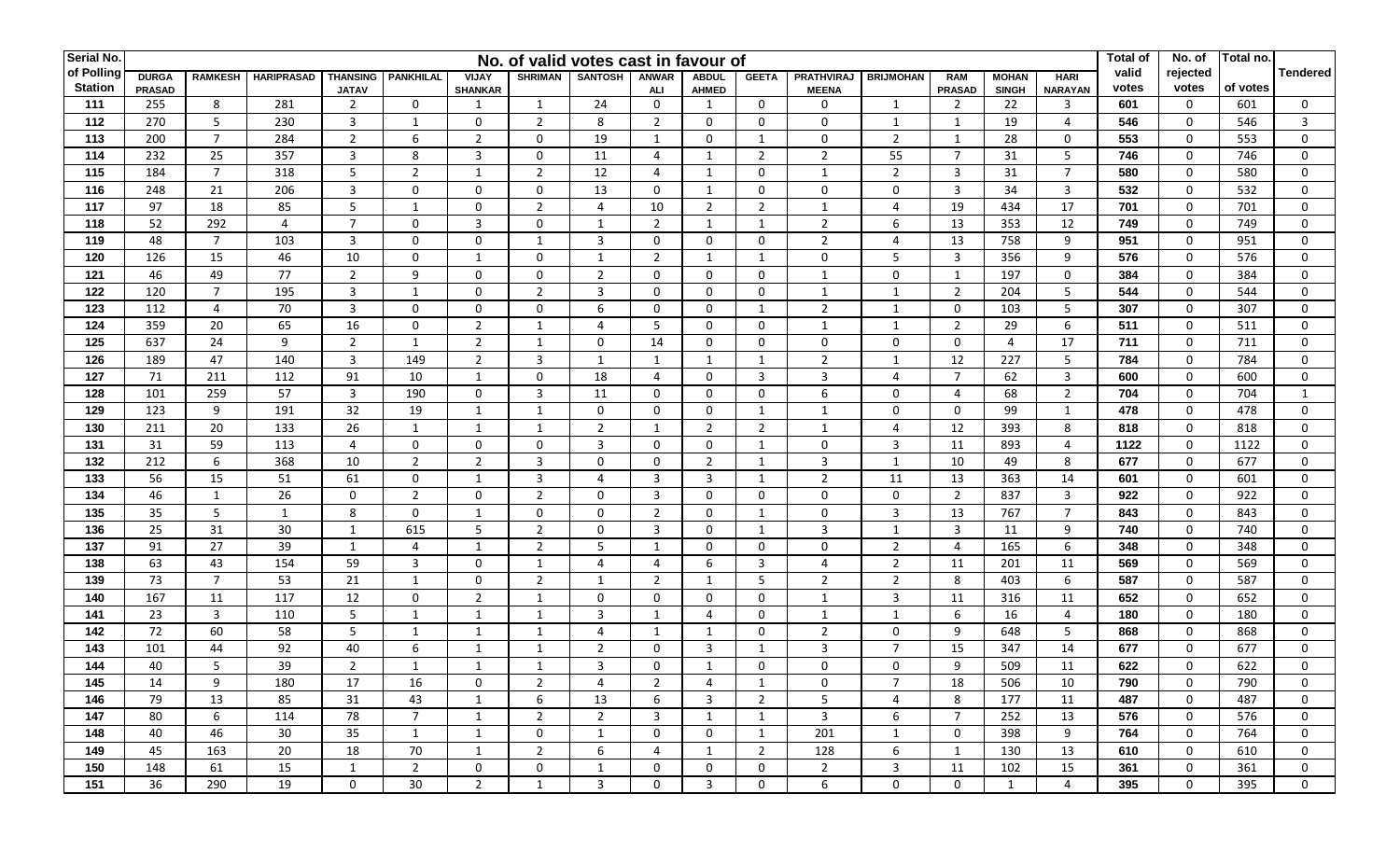| Serial No.     |               |                |                   |                 |                  |                |                | No. of valid votes cast in favour of |                |                |                |                |                  |                |                |                | Total of | No. of       | Total no. |                 |
|----------------|---------------|----------------|-------------------|-----------------|------------------|----------------|----------------|--------------------------------------|----------------|----------------|----------------|----------------|------------------|----------------|----------------|----------------|----------|--------------|-----------|-----------------|
| of Polling     | <b>DURGA</b>  | <b>RAMKESH</b> | <b>HARIPRASAD</b> | <b>THANSING</b> | <b>PANKHILAL</b> | <b>VIJAY</b>   | <b>SHRIMAN</b> | <b>SANTOSH</b>                       | <b>ANWAR</b>   | <b>ABDUL</b>   | <b>GEETA</b>   | PRATHVIRAJ     | <b>BRIJMOHAN</b> | <b>RAM</b>     | <b>MOHAN</b>   | <b>HARI</b>    | valid    | rejected     |           | <b>Tendered</b> |
| <b>Station</b> | <b>PRASAD</b> |                |                   | <b>JATAV</b>    |                  | <b>SHANKAR</b> |                |                                      | ALI            | <b>AHMED</b>   |                | <b>MEENA</b>   |                  | <b>PRASAD</b>  | <b>SINGH</b>   | <b>NARAYAN</b> | votes    | votes        | of votes  |                 |
| 111            | 255           | 8              | 281               | $\overline{2}$  | $\Omega$         | 1              | 1              | 24                                   | $\mathbf 0$    | 1              | $\mathbf 0$    | $\Omega$       | 1                | 2              | 22             | 3              | 601      | 0            | 601       | $\mathbf{0}$    |
| 112            | 270           | 5              | 230               | $\overline{3}$  | 1                | 0              | $\overline{2}$ | 8                                    | $\overline{2}$ | $\mathbf{0}$   | $\mathbf 0$    | 0              | 1                | $\mathbf{1}$   | 19             | 4              | 546      | 0            | 546       | 3               |
| 113            | 200           | $\overline{7}$ | 284               | $\overline{2}$  | 6                | $\overline{2}$ | $\mathbf 0$    | 19                                   | 1              | $\mathbf{0}$   | 1              | $\mathbf{0}$   | 2                | $\mathbf{1}$   | 28             | $\mathbf 0$    | 553      | $\mathbf 0$  | 553       | $\Omega$        |
| 114            | 232           | 25             | 357               | $\overline{3}$  | 8                | 3              | $\mathbf 0$    | 11                                   | $\overline{4}$ | 1              | $\overline{2}$ | $\overline{2}$ | 55               | $\overline{7}$ | 31             | 5              | 746      | $\mathbf 0$  | 746       | $\Omega$        |
| 115            | 184           | $\overline{7}$ | 318               | 5               | $\overline{2}$   | 1              | $\overline{2}$ | 12                                   | $\overline{4}$ | 1              | $\mathbf 0$    | $\overline{1}$ | $\overline{2}$   | 3              | 31             | $\overline{7}$ | 580      | $\mathbf 0$  | 580       | $\Omega$        |
| 116            | 248           | 21             | 206               | $\overline{3}$  | $\mathbf 0$      | $\mathbf 0$    | $\mathbf 0$    | 13                                   | $\mathbf 0$    | $\mathbf{1}$   | $\mathbf 0$    | $\mathbf 0$    | $\mathbf 0$      | 3              | 34             | $\overline{3}$ | 532      | 0            | 532       | 0               |
| 117            | 97            | 18             | 85                | 5               | $\mathbf{1}$     | $\mathbf 0$    | $\overline{2}$ | $\overline{4}$                       | 10             | $\overline{2}$ | $\overline{2}$ | $\overline{1}$ | 4                | 19             | 434            | 17             | 701      | $\mathbf 0$  | 701       | $\Omega$        |
| 118            | 52            | 292            | $\overline{4}$    | $\overline{7}$  | $\mathbf 0$      | 3              | $\mathbf 0$    | 1                                    | $\overline{2}$ | 1              | 1              | $\overline{2}$ | 6                | 13             | 353            | 12             | 749      | $\mathbf 0$  | 749       | $\Omega$        |
| 119            | 48            | $\overline{7}$ | 103               | $\overline{3}$  | $\mathbf 0$      | 0              | 1              | 3                                    | $\mathbf 0$    | $\mathbf 0$    | $\mathbf 0$    | $\overline{2}$ | 4                | 13             | 758            | 9              | 951      | 0            | 951       | $\Omega$        |
| 120            | 126           | 15             | 46                | 10              | $\mathbf{0}$     | $\mathbf{1}$   | $\mathbf 0$    | 1                                    | 2              | 1              | 1              | 0              | 5                | 3              | 356            | 9              | 576      | 0            | 576       | 0               |
| 121            | 46            | 49             | 77                | $\overline{2}$  | 9                | $\mathbf 0$    | $\mathbf 0$    | $\overline{2}$                       | $\mathbf 0$    | $\mathbf 0$    | $\mathbf 0$    | $\overline{1}$ | $\mathbf 0$      | $\mathbf{1}$   | 197            | $\mathbf{0}$   | 384      | $\mathbf 0$  | 384       | $\Omega$        |
| 122            | 120           | $\overline{7}$ | 195               | $\overline{3}$  | 1                | $\mathbf 0$    | $\overline{2}$ | $\overline{3}$                       | $\mathbf 0$    | $\mathbf 0$    | $\mathbf 0$    | 1              | 1                | $\overline{2}$ | 204            | 5              | 544      | 0            | 544       | $\Omega$        |
| 123            | 112           | $\overline{4}$ | 70                | $\overline{3}$  | $\mathbf{0}$     | $\mathbf 0$    | $\mathbf 0$    | 6                                    | $\mathbf 0$    | 0              | $\mathbf{1}$   | 2              | 1                | $\mathbf 0$    | 103            | 5              | 307      | 0            | 307       | 0               |
| 124            | 359           | 20             | 65                | 16              | 0                | $\overline{2}$ | 1              | 4                                    | 5              | 0              | 0              | $\mathbf{1}$   | 1                | 2              | 29             | 6              | 511      | 0            | 511       | $\Omega$        |
| 125            | 637           | 24             | 9                 | $\overline{2}$  | $\mathbf{1}$     | $\overline{2}$ | $\mathbf{1}$   | 0                                    | 14             | 0              | $\mathbf 0$    | 0              | $\mathbf 0$      | $\mathbf 0$    | $\overline{4}$ | 17             | 711      | 0            | 711       | $\Omega$        |
| 126            | 189           | 47             | 140               | 3               | 149              | $\overline{2}$ | 3              | 1                                    | 1              | 1              | 1              | $\overline{2}$ | 1                | 12             | 227            | 5              | 784      | 0            | 784       | $\Omega$        |
| 127            | 71            | 211            | 112               | 91              | 10               | $\mathbf{1}$   | $\mathbf 0$    | 18                                   | $\overline{4}$ | 0              | 3              | 3              | 4                | $\overline{7}$ | 62             | 3              | 600      | $\mathbf 0$  | 600       | $\Omega$        |
| 128            | 101           | 259            | 57                | $\overline{3}$  | 190              | $\mathbf 0$    | $\overline{3}$ | 11                                   | $\mathbf 0$    | $\mathbf 0$    | $\mathbf 0$    | 6              | $\mathbf 0$      | $\overline{4}$ | 68             | $\overline{2}$ | 704      | $\mathbf 0$  | 704       | $\mathbf{1}$    |
| 129            | 123           | 9              | 191               | 32              | 19               | $\mathbf{1}$   | $\mathbf{1}$   | $\mathbf 0$                          | $\mathbf 0$    | $\mathbf 0$    | $\mathbf{1}$   | $\overline{1}$ | $\mathbf 0$      | $\mathbf 0$    | 99             | 1              | 478      | $\mathbf 0$  | 478       | $\mathbf 0$     |
| 130            | 211           | 20             | 133               | 26              | $\mathbf{1}$     | $\mathbf{1}$   | 1              | $\overline{2}$                       | 1              | $\overline{2}$ | $\overline{2}$ | $\mathbf{1}$   | 4                | 12             | 393            | 8              | 818      | 0            | 818       | $\Omega$        |
| 131            | 31            | 59             | 113               | 4               | $\mathbf 0$      | 0              | $\mathbf 0$    | 3                                    | 0              | 0              | $\mathbf 1$    | 0              | 3                | 11             | 893            | 4              | 1122     | 0            | 1122      | 0               |
| 132            | 212           | 6              | 368               | 10              | $\overline{2}$   | $\overline{2}$ | 3              | $\mathbf 0$                          | $\mathbf 0$    | $\overline{2}$ | 1              | 3              | $\mathbf{1}$     | 10             | 49             | 8              | 677      | $\mathbf 0$  | 677       | $\Omega$        |
| 133            | 56            | 15             | 51                | 61              | $\mathbf{0}$     | $\mathbf{1}$   | $\overline{3}$ | $\overline{4}$                       | $\overline{3}$ | 3              | 1              | $\overline{2}$ | 11               | 13             | 363            | 14             | 601      | $\mathbf{0}$ | 601       | $\Omega$        |
| 134            | 46            | 1              | 26                | $\mathbf 0$     | $\overline{2}$   | 0              | $\overline{2}$ | 0                                    | $\overline{3}$ | 0              | $\mathbf 0$    | 0              | $\mathbf 0$      | 2              | 837            | 3              | 922      | 0            | 922       | $\Omega$        |
| 135            | 35            | 5              | 1                 | 8               | $\mathbf 0$      | $\mathbf{1}$   | $\mathbf 0$    | 0                                    | $\overline{2}$ | $\mathbf 0$    | 1              | 0              | $\overline{3}$   | 13             | 767            | $\overline{7}$ | 843      | $\mathbf 0$  | 843       | 0               |
| 136            | 25            | 31             | 30                | 1               | 615              | 5              | $\overline{2}$ | 0                                    | $\overline{3}$ | $\mathbf{0}$   | 1              | 3              | 1                | 3              | 11             | 9              | 740      | 0            | 740       | 0               |
| 137            | 91            | 27             | 39                | 1               | 4                | $\mathbf{1}$   | $\overline{2}$ | 5                                    | $\mathbf{1}$   | 0              | $\mathbf 0$    | 0              | $\overline{2}$   | 4              | 165            | 6              | 348      | 0            | 348       | $\Omega$        |
| 138            | 63            | 43             | 154               | 59              | 3                | $\mathbf 0$    | 1              | $\overline{4}$                       | $\overline{4}$ | 6              | 3              | 4              | 2                | 11             | 201            | 11             | 569      | 0            | 569       | $\Omega$        |
| 139            | 73            | $\overline{7}$ | 53                | 21              | 1                | $\mathbf 0$    | $\overline{2}$ | 1                                    | $\overline{2}$ | $\mathbf{1}$   | 5              | $\overline{2}$ | 2                | 8              | 403            | 6              | 587      | $\mathbf{0}$ | 587       | 0               |
| 140            | 167           | 11             | 117               | 12              | $\mathbf 0$      | $\overline{2}$ | $\mathbf{1}$   | $\mathbf 0$                          | $\mathbf 0$    | $\mathbf 0$    | $\mathbf 0$    | $\mathbf{1}$   | 3                | 11             | 316            | 11             | 652      | $\mathbf 0$  | 652       | $\Omega$        |
| 141            | 23            | $\overline{3}$ | 110               | 5               | $\mathbf 1$      | $\mathbf{1}$   | $\mathbf{1}$   | $\overline{3}$                       |                | 4              | $\mathbf 0$    | $\mathbf{1}$   | $\mathbf 1$      | 6              | 16             | 4              | 180      | 0            | 180       | $\Omega$        |
| 142            | 72            | 60             | 58                | 5               | $\mathbf{1}$     | $\mathbf{1}$   | $\mathbf{1}$   | $\overline{4}$                       | $\mathbf{1}$   | 1              | $\mathbf 0$    | $\overline{2}$ | $\mathbf 0$      | 9              | 648            | 5              | 868      | 0            | 868       | 0               |
| 143            | 101           | 44             | 92                | 40              | 6                | $\mathbf{1}$   | 1              | $\overline{2}$                       | 0              | 3              | $\mathbf 1$    | 3              | $\overline{7}$   | 15             | 347            | 14             | 677      | 0            | 677       | $\Omega$        |
| 144            | 40            | 5              | 39                | 2               | -1               | $\mathbf{1}$   | -1             | 3                                    | $\Omega$       | $\mathbf{1}$   | $\Omega$       | $\Omega$       | $\mathbf 0$      | 9              | 509            | 11             | 622      | $\mathbf{0}$ | 622       | $\Omega$        |
| 145            | 14            | 9              | 180               | 17              | 16               | 0              | 2              | 4                                    | $\overline{2}$ | 4              | 1              | 0              | $\overline{7}$   | 18             | 506            | 10             | 790      | $\mathbf{0}$ | 790       | 0               |
| 146            | 79            | 13             | 85                | 31              | 43               | 1              | 6              | 13                                   | 6              | 3              | $\overline{2}$ | 5              | 4                | 8              | 177            | 11             | 487      | $\mathbf{0}$ | 487       | $\mathbf{0}$    |
| 147            | 80            | 6              | 114               | 78              | $\overline{7}$   | $\mathbf{1}$   | $\overline{2}$ | $\overline{2}$                       | $\overline{3}$ | 1              | 1              | 3              | 6                | $\overline{7}$ | 252            | 13             | 576      | 0            | 576       | $\mathbf{0}$    |
| 148            | 40            | 46             | 30                | 35              | $\mathbf{1}$     | $\mathbf{1}$   | 0              | $\mathbf{1}$                         | $\mathbf 0$    | 0              | 1              | 201            | 1                | 0              | 398            | 9              | 764      | 0            | 764       | $\mathbf{0}$    |
| 149            | 45            | 163            | 20                | 18              | 70               | $\mathbf{1}$   | $\overline{2}$ | 6                                    | 4              | 1              | $\overline{2}$ | 128            | 6                | $\mathbf{1}$   | 130            | 13             | 610      | 0            | 610       | $\mathbf{0}$    |
| 150            | 148           | 61             | 15                | $\mathbf{1}$    | $\overline{2}$   | 0              | 0              | 1                                    | $\mathbf 0$    | 0              | 0              | $\overline{2}$ | 3                | 11             | 102            | 15             | 361      | 0            | 361       | $\mathbf{0}$    |
| 151            | 36            | 290            | 19                | $\mathbf 0$     | 30               | $\overline{2}$ | 1              | 3                                    | $\mathbf 0$    | 3              | 0              | 6              | 0                | $\mathbf 0$    | 1              | 4              | 395      | $\mathbf 0$  | 395       | $\mathbf{0}$    |